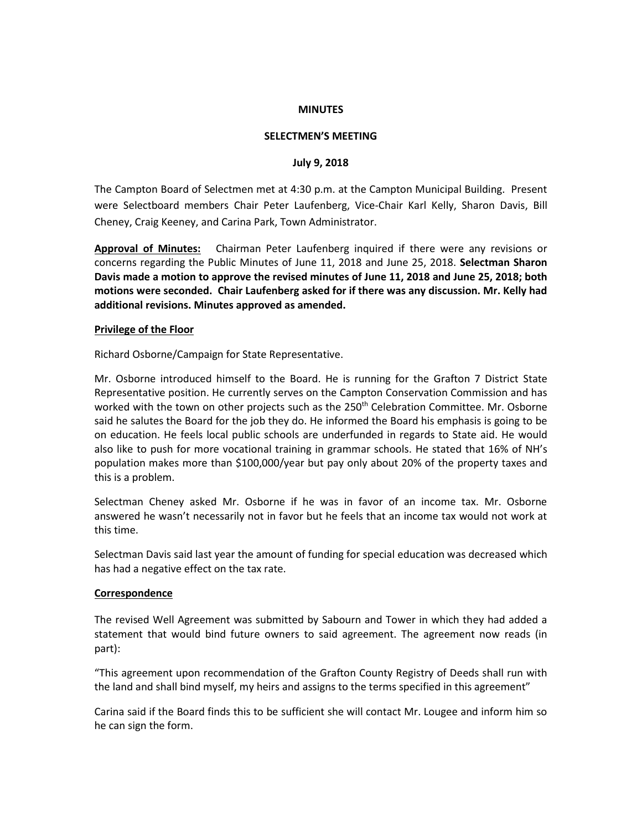#### **MINUTES**

## **SELECTMEN'S MEETING**

#### **July 9, 2018**

The Campton Board of Selectmen met at 4:30 p.m. at the Campton Municipal Building. Present were Selectboard members Chair Peter Laufenberg, Vice-Chair Karl Kelly, Sharon Davis, Bill Cheney, Craig Keeney, and Carina Park, Town Administrator.

**Approval of Minutes:** Chairman Peter Laufenberg inquired if there were any revisions or concerns regarding the Public Minutes of June 11, 2018 and June 25, 2018. **Selectman Sharon Davis made a motion to approve the revised minutes of June 11, 2018 and June 25, 2018; both motions were seconded. Chair Laufenberg asked for if there was any discussion. Mr. Kelly had additional revisions. Minutes approved as amended.**

#### **Privilege of the Floor**

Richard Osborne/Campaign for State Representative.

Mr. Osborne introduced himself to the Board. He is running for the Grafton 7 District State Representative position. He currently serves on the Campton Conservation Commission and has worked with the town on other projects such as the 250<sup>th</sup> Celebration Committee. Mr. Osborne said he salutes the Board for the job they do. He informed the Board his emphasis is going to be on education. He feels local public schools are underfunded in regards to State aid. He would also like to push for more vocational training in grammar schools. He stated that 16% of NH's population makes more than \$100,000/year but pay only about 20% of the property taxes and this is a problem.

Selectman Cheney asked Mr. Osborne if he was in favor of an income tax. Mr. Osborne answered he wasn't necessarily not in favor but he feels that an income tax would not work at this time.

Selectman Davis said last year the amount of funding for special education was decreased which has had a negative effect on the tax rate.

## **Correspondence**

The revised Well Agreement was submitted by Sabourn and Tower in which they had added a statement that would bind future owners to said agreement. The agreement now reads (in part):

"This agreement upon recommendation of the Grafton County Registry of Deeds shall run with the land and shall bind myself, my heirs and assigns to the terms specified in this agreement"

Carina said if the Board finds this to be sufficient she will contact Mr. Lougee and inform him so he can sign the form.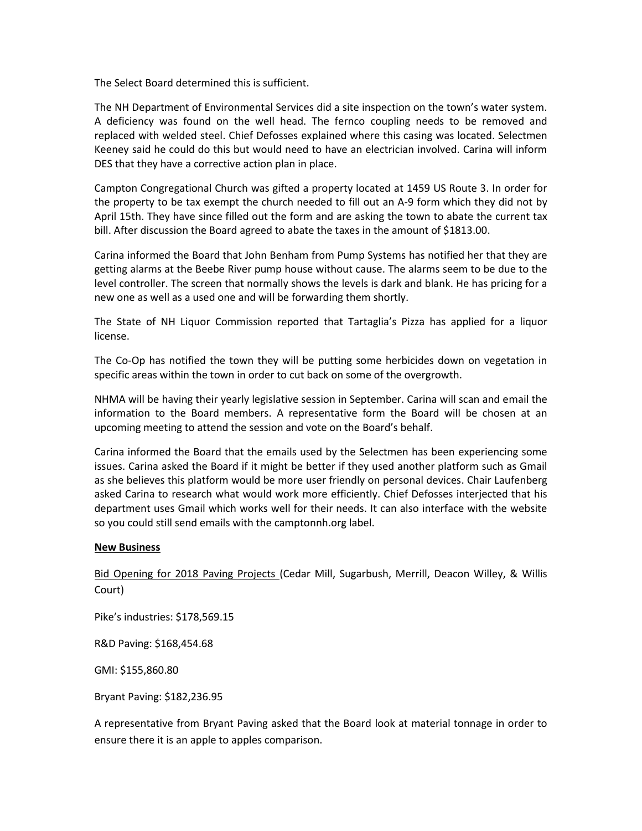The Select Board determined this is sufficient.

The NH Department of Environmental Services did a site inspection on the town's water system. A deficiency was found on the well head. The fernco coupling needs to be removed and replaced with welded steel. Chief Defosses explained where this casing was located. Selectmen Keeney said he could do this but would need to have an electrician involved. Carina will inform DES that they have a corrective action plan in place.

Campton Congregational Church was gifted a property located at 1459 US Route 3. In order for the property to be tax exempt the church needed to fill out an A-9 form which they did not by April 15th. They have since filled out the form and are asking the town to abate the current tax bill. After discussion the Board agreed to abate the taxes in the amount of \$1813.00.

Carina informed the Board that John Benham from Pump Systems has notified her that they are getting alarms at the Beebe River pump house without cause. The alarms seem to be due to the level controller. The screen that normally shows the levels is dark and blank. He has pricing for a new one as well as a used one and will be forwarding them shortly.

The State of NH Liquor Commission reported that Tartaglia's Pizza has applied for a liquor license.

The Co-Op has notified the town they will be putting some herbicides down on vegetation in specific areas within the town in order to cut back on some of the overgrowth.

NHMA will be having their yearly legislative session in September. Carina will scan and email the information to the Board members. A representative form the Board will be chosen at an upcoming meeting to attend the session and vote on the Board's behalf.

Carina informed the Board that the emails used by the Selectmen has been experiencing some issues. Carina asked the Board if it might be better if they used another platform such as Gmail as she believes this platform would be more user friendly on personal devices. Chair Laufenberg asked Carina to research what would work more efficiently. Chief Defosses interjected that his department uses Gmail which works well for their needs. It can also interface with the website so you could still send emails with the camptonnh.org label.

# **New Business**

Bid Opening for 2018 Paving Projects (Cedar Mill, Sugarbush, Merrill, Deacon Willey, & Willis Court)

Pike's industries: \$178,569.15

R&D Paving: \$168,454.68

GMI: \$155,860.80

Bryant Paving: \$182,236.95

A representative from Bryant Paving asked that the Board look at material tonnage in order to ensure there it is an apple to apples comparison.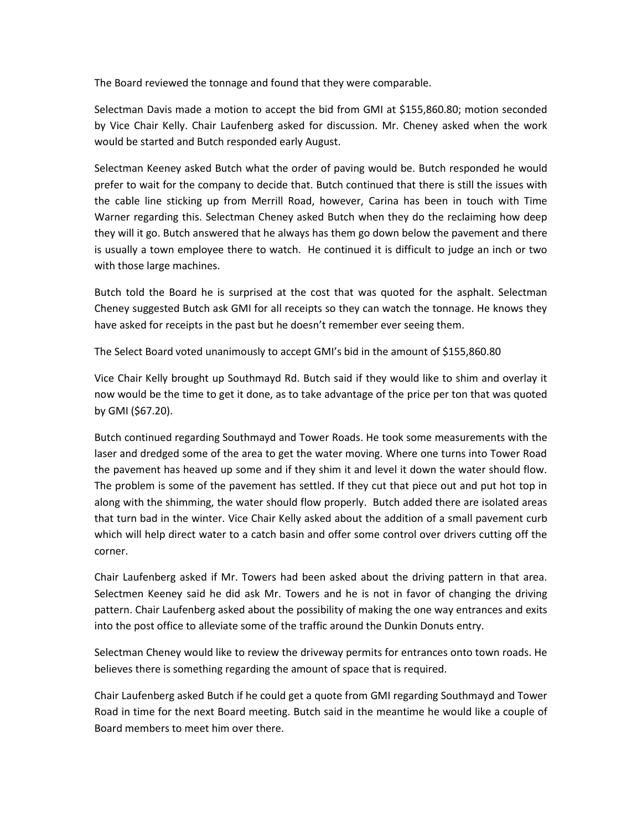The Board reviewed the tonnage and found that they were comparable.

Selectman Davis made a motion to accept the bid from GMI at \$155,860.80; motion seconded by Vice Chair Kelly. Chair Laufenberg asked for discussion. Mr. Cheney asked when the work would be started and Butch responded early August.

Selectman Keeney asked Butch what the order of paving would be. Butch responded he would prefer to wait for the company to decide that. Butch continued that there is still the issues with the cable line sticking up from Merrill Road, however, Carina has been in touch with Time Warner regarding this. Selectman Cheney asked Butch when they do the reclaiming how deep they will it go. Butch answered that he always has them go down below the pavement and there is usually a town employee there to watch. He continued it is difficult to judge an inch or two with those large machines.

Butch told the Board he is surprised at the cost that was quoted for the asphalt. Selectman Cheney suggested Butch ask GMI for all receipts so they can watch the tonnage. He knows they have asked for receipts in the past but he doesn't remember ever seeing them.

The Select Board voted unanimously to accept GMI's bid in the amount of \$155,860.80

Vice Chair Kelly brought up Southmayd Rd. Butch said if they would like to shim and overlay it now would be the time to get it done, as to take advantage of the price per ton that was quoted by GMI (\$67.20).

Butch continued regarding Southmayd and Tower Roads. He took some measurements with the laser and dredged some of the area to get the water moving. Where one turns into Tower Road the pavement has heaved up some and if they shim it and level it down the water should flow. The problem is some of the pavement has settled. If they cut that piece out and put hot top in along with the shimming, the water should flow properly. Butch added there are isolated areas that turn bad in the winter. Vice Chair Kelly asked about the addition of a small pavement curb which will help direct water to a catch basin and offer some control over drivers cutting off the corner.

Chair Laufenberg asked if Mr. Towers had been asked about the driving pattern in that area. Selectmen Keeney said he did ask Mr. Towers and he is not in favor of changing the driving pattern. Chair Laufenberg asked about the possibility of making the one way entrances and exits into the post office to alleviate some of the traffic around the Dunkin Donuts entry.

Selectman Cheney would like to review the driveway permits for entrances onto town roads. He believes there is something regarding the amount of space that is required.

Chair Laufenberg asked Butch if he could get a quote from GMI regarding Southmayd and Tower Road in time for the next Board meeting. Butch said in the meantime he would like a couple of Board members to meet him over there.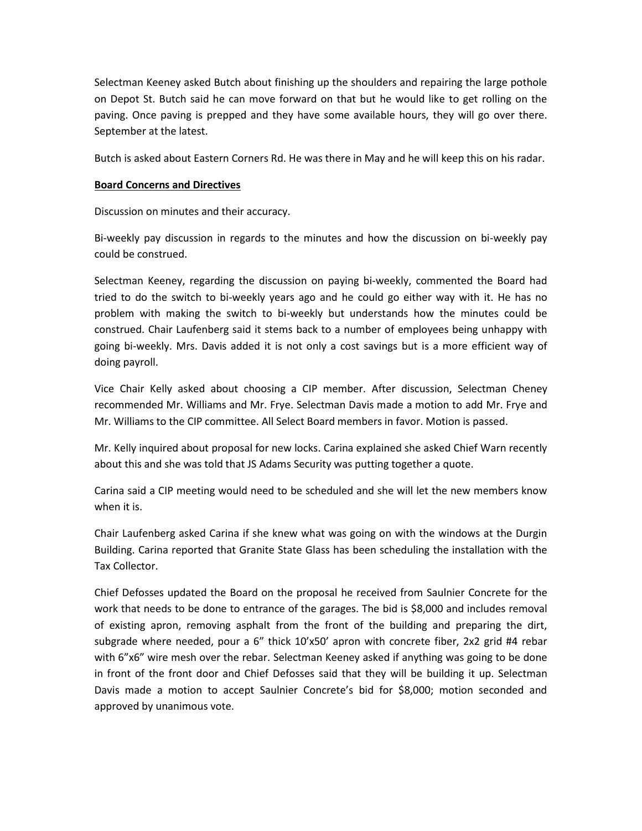Selectman Keeney asked Butch about finishing up the shoulders and repairing the large pothole on Depot St. Butch said he can move forward on that but he would like to get rolling on the paving. Once paving is prepped and they have some available hours, they will go over there. September at the latest.

Butch is asked about Eastern Corners Rd. He was there in May and he will keep this on his radar.

## **Board Concerns and Directives**

Discussion on minutes and their accuracy.

Bi-weekly pay discussion in regards to the minutes and how the discussion on bi-weekly pay could be construed.

Selectman Keeney, regarding the discussion on paying bi-weekly, commented the Board had tried to do the switch to bi-weekly years ago and he could go either way with it. He has no problem with making the switch to bi-weekly but understands how the minutes could be construed. Chair Laufenberg said it stems back to a number of employees being unhappy with going bi-weekly. Mrs. Davis added it is not only a cost savings but is a more efficient way of doing payroll.

Vice Chair Kelly asked about choosing a CIP member. After discussion, Selectman Cheney recommended Mr. Williams and Mr. Frye. Selectman Davis made a motion to add Mr. Frye and Mr. Williams to the CIP committee. All Select Board members in favor. Motion is passed.

Mr. Kelly inquired about proposal for new locks. Carina explained she asked Chief Warn recently about this and she was told that JS Adams Security was putting together a quote.

Carina said a CIP meeting would need to be scheduled and she will let the new members know when it is.

Chair Laufenberg asked Carina if she knew what was going on with the windows at the Durgin Building. Carina reported that Granite State Glass has been scheduling the installation with the Tax Collector.

Chief Defosses updated the Board on the proposal he received from Saulnier Concrete for the work that needs to be done to entrance of the garages. The bid is \$8,000 and includes removal of existing apron, removing asphalt from the front of the building and preparing the dirt, subgrade where needed, pour a 6" thick 10'x50' apron with concrete fiber, 2x2 grid #4 rebar with 6"x6" wire mesh over the rebar. Selectman Keeney asked if anything was going to be done in front of the front door and Chief Defosses said that they will be building it up. Selectman Davis made a motion to accept Saulnier Concrete's bid for \$8,000; motion seconded and approved by unanimous vote.